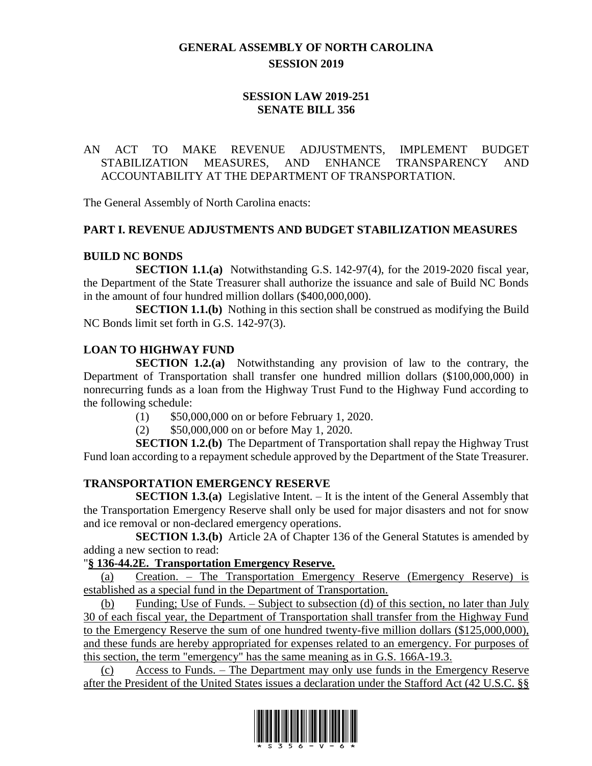# **GENERAL ASSEMBLY OF NORTH CAROLINA SESSION 2019**

### **SESSION LAW 2019-251 SENATE BILL 356**

### AN ACT TO MAKE REVENUE ADJUSTMENTS, IMPLEMENT BUDGET STABILIZATION MEASURES, AND ENHANCE TRANSPARENCY AND ACCOUNTABILITY AT THE DEPARTMENT OF TRANSPORTATION.

The General Assembly of North Carolina enacts:

#### **PART I. REVENUE ADJUSTMENTS AND BUDGET STABILIZATION MEASURES**

#### **BUILD NC BONDS**

**SECTION 1.1.(a)** Notwithstanding G.S. 142-97(4), for the 2019-2020 fiscal year, the Department of the State Treasurer shall authorize the issuance and sale of Build NC Bonds in the amount of four hundred million dollars (\$400,000,000).

**SECTION 1.1.(b)** Nothing in this section shall be construed as modifying the Build NC Bonds limit set forth in G.S. 142-97(3).

### **LOAN TO HIGHWAY FUND**

**SECTION 1.2.(a)** Notwithstanding any provision of law to the contrary, the Department of Transportation shall transfer one hundred million dollars (\$100,000,000) in nonrecurring funds as a loan from the Highway Trust Fund to the Highway Fund according to the following schedule:

- (1) \$50,000,000 on or before February 1, 2020.
- (2) \$50,000,000 on or before May 1, 2020.

**SECTION 1.2.(b)** The Department of Transportation shall repay the Highway Trust Fund loan according to a repayment schedule approved by the Department of the State Treasurer.

### **TRANSPORTATION EMERGENCY RESERVE**

**SECTION 1.3.(a)** Legislative Intent. – It is the intent of the General Assembly that the Transportation Emergency Reserve shall only be used for major disasters and not for snow and ice removal or non-declared emergency operations.

**SECTION 1.3.(b)** Article 2A of Chapter 136 of the General Statutes is amended by adding a new section to read:

### "**§ 136-44.2E. Transportation Emergency Reserve.**

(a) Creation. – The Transportation Emergency Reserve (Emergency Reserve) is established as a special fund in the Department of Transportation.

(b) Funding; Use of Funds. – Subject to subsection (d) of this section, no later than July 30 of each fiscal year, the Department of Transportation shall transfer from the Highway Fund to the Emergency Reserve the sum of one hundred twenty-five million dollars (\$125,000,000), and these funds are hereby appropriated for expenses related to an emergency. For purposes of this section, the term "emergency" has the same meaning as in G.S. 166A-19.3.

(c) Access to Funds. – The Department may only use funds in the Emergency Reserve after the President of the United States issues a declaration under the Stafford Act (42 U.S.C. §§

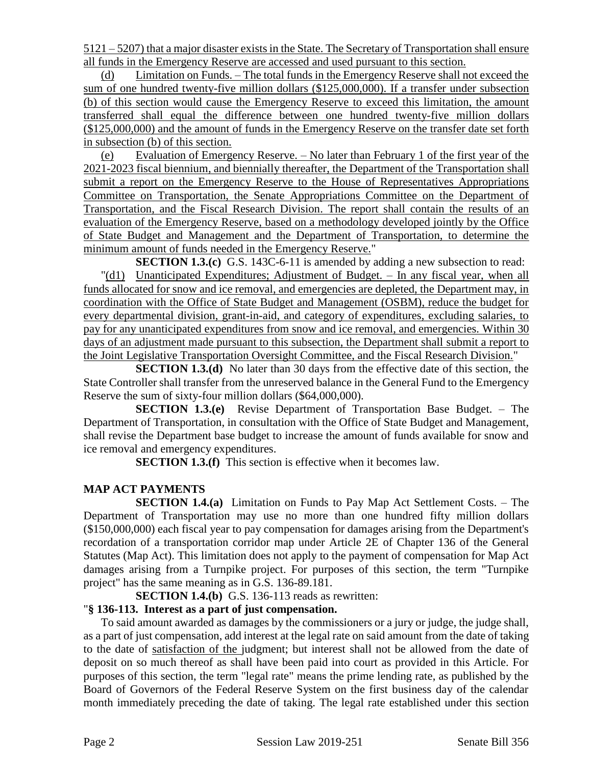5121 – 5207) that a major disaster exists in the State. The Secretary of Transportation shall ensure all funds in the Emergency Reserve are accessed and used pursuant to this section.

(d) Limitation on Funds. – The total funds in the Emergency Reserve shall not exceed the sum of one hundred twenty-five million dollars (\$125,000,000). If a transfer under subsection (b) of this section would cause the Emergency Reserve to exceed this limitation, the amount transferred shall equal the difference between one hundred twenty-five million dollars (\$125,000,000) and the amount of funds in the Emergency Reserve on the transfer date set forth in subsection (b) of this section.

(e) Evaluation of Emergency Reserve. – No later than February 1 of the first year of the 2021-2023 fiscal biennium, and biennially thereafter, the Department of the Transportation shall submit a report on the Emergency Reserve to the House of Representatives Appropriations Committee on Transportation, the Senate Appropriations Committee on the Department of Transportation, and the Fiscal Research Division. The report shall contain the results of an evaluation of the Emergency Reserve, based on a methodology developed jointly by the Office of State Budget and Management and the Department of Transportation, to determine the minimum amount of funds needed in the Emergency Reserve."

**SECTION 1.3.(c)** G.S. 143C-6-11 is amended by adding a new subsection to read: "(d1) Unanticipated Expenditures; Adjustment of Budget. – In any fiscal year, when all funds allocated for snow and ice removal, and emergencies are depleted, the Department may, in coordination with the Office of State Budget and Management (OSBM), reduce the budget for every departmental division, grant-in-aid, and category of expenditures, excluding salaries, to pay for any unanticipated expenditures from snow and ice removal, and emergencies. Within 30 days of an adjustment made pursuant to this subsection, the Department shall submit a report to the Joint Legislative Transportation Oversight Committee, and the Fiscal Research Division."

**SECTION 1.3.(d)** No later than 30 days from the effective date of this section, the State Controller shall transfer from the unreserved balance in the General Fund to the Emergency Reserve the sum of sixty-four million dollars (\$64,000,000).

**SECTION 1.3.(e)** Revise Department of Transportation Base Budget. – The Department of Transportation, in consultation with the Office of State Budget and Management, shall revise the Department base budget to increase the amount of funds available for snow and ice removal and emergency expenditures.

**SECTION 1.3.(f)** This section is effective when it becomes law.

# **MAP ACT PAYMENTS**

**SECTION 1.4.(a)** Limitation on Funds to Pay Map Act Settlement Costs. – The Department of Transportation may use no more than one hundred fifty million dollars (\$150,000,000) each fiscal year to pay compensation for damages arising from the Department's recordation of a transportation corridor map under Article 2E of Chapter 136 of the General Statutes (Map Act). This limitation does not apply to the payment of compensation for Map Act damages arising from a Turnpike project. For purposes of this section, the term "Turnpike project" has the same meaning as in G.S. 136-89.181.

**SECTION 1.4.(b)** G.S. 136-113 reads as rewritten:

### "**§ 136-113. Interest as a part of just compensation.**

To said amount awarded as damages by the commissioners or a jury or judge, the judge shall, as a part of just compensation, add interest at the legal rate on said amount from the date of taking to the date of satisfaction of the judgment; but interest shall not be allowed from the date of deposit on so much thereof as shall have been paid into court as provided in this Article. For purposes of this section, the term "legal rate" means the prime lending rate, as published by the Board of Governors of the Federal Reserve System on the first business day of the calendar month immediately preceding the date of taking. The legal rate established under this section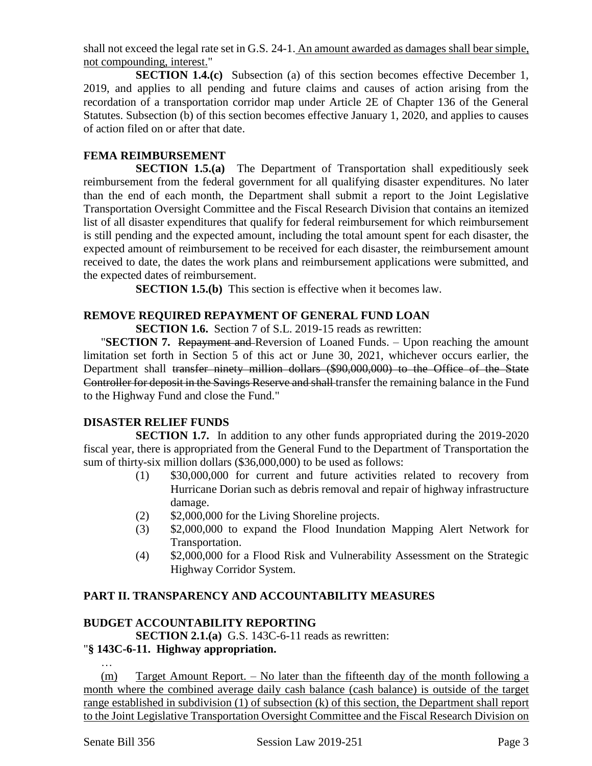shall not exceed the legal rate set in G.S. 24-1. An amount awarded as damages shall bear simple, not compounding, interest."

**SECTION 1.4.(c)** Subsection (a) of this section becomes effective December 1, 2019, and applies to all pending and future claims and causes of action arising from the recordation of a transportation corridor map under Article 2E of Chapter 136 of the General Statutes. Subsection (b) of this section becomes effective January 1, 2020, and applies to causes of action filed on or after that date.

### **FEMA REIMBURSEMENT**

**SECTION 1.5.(a)** The Department of Transportation shall expeditiously seek reimbursement from the federal government for all qualifying disaster expenditures. No later than the end of each month, the Department shall submit a report to the Joint Legislative Transportation Oversight Committee and the Fiscal Research Division that contains an itemized list of all disaster expenditures that qualify for federal reimbursement for which reimbursement is still pending and the expected amount, including the total amount spent for each disaster, the expected amount of reimbursement to be received for each disaster, the reimbursement amount received to date, the dates the work plans and reimbursement applications were submitted, and the expected dates of reimbursement.

**SECTION 1.5.(b)** This section is effective when it becomes law.

### **REMOVE REQUIRED REPAYMENT OF GENERAL FUND LOAN**

**SECTION 1.6.** Section 7 of S.L. 2019-15 reads as rewritten:

**"SECTION 7.** Repayment and Reversion of Loaned Funds. – Upon reaching the amount limitation set forth in Section 5 of this act or June 30, 2021, whichever occurs earlier, the Department shall transfer ninety million dollars (\$90,000,000) to the Office of the State Controller for deposit in the Savings Reserve and shall transfer the remaining balance in the Fund to the Highway Fund and close the Fund."

### **DISASTER RELIEF FUNDS**

**SECTION 1.7.** In addition to any other funds appropriated during the 2019-2020 fiscal year, there is appropriated from the General Fund to the Department of Transportation the sum of thirty-six million dollars (\$36,000,000) to be used as follows:

- (1) \$30,000,000 for current and future activities related to recovery from Hurricane Dorian such as debris removal and repair of highway infrastructure damage.
- (2) \$2,000,000 for the Living Shoreline projects.
- (3) \$2,000,000 to expand the Flood Inundation Mapping Alert Network for Transportation.
- (4) \$2,000,000 for a Flood Risk and Vulnerability Assessment on the Strategic Highway Corridor System.

### **PART II. TRANSPARENCY AND ACCOUNTABILITY MEASURES**

### **BUDGET ACCOUNTABILITY REPORTING**

**SECTION 2.1.(a)** G.S. 143C-6-11 reads as rewritten:

### "**§ 143C-6-11. Highway appropriation.**

… (m) Target Amount Report. – No later than the fifteenth day of the month following a month where the combined average daily cash balance (cash balance) is outside of the target range established in subdivision (1) of subsection (k) of this section, the Department shall report to the Joint Legislative Transportation Oversight Committee and the Fiscal Research Division on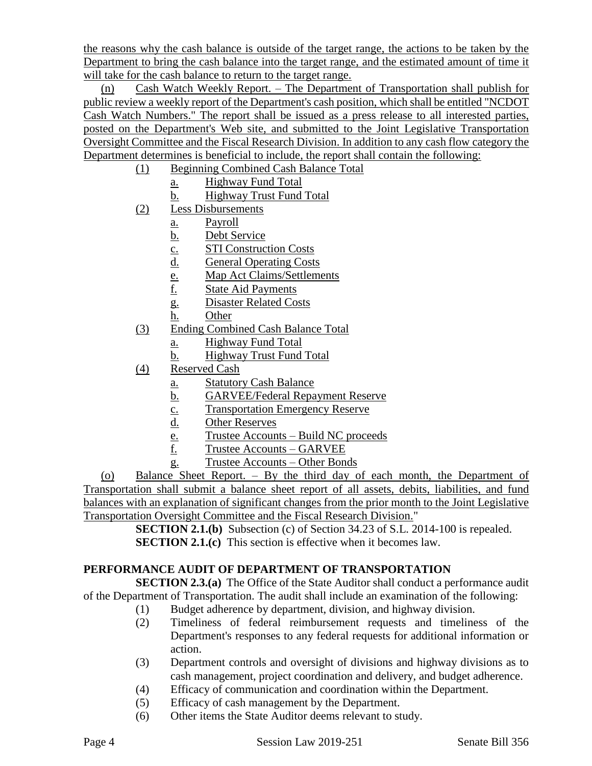the reasons why the cash balance is outside of the target range, the actions to be taken by the Department to bring the cash balance into the target range, and the estimated amount of time it will take for the cash balance to return to the target range.

(n) Cash Watch Weekly Report. – The Department of Transportation shall publish for public review a weekly report of the Department's cash position, which shall be entitled "NCDOT Cash Watch Numbers." The report shall be issued as a press release to all interested parties, posted on the Department's Web site, and submitted to the Joint Legislative Transportation Oversight Committee and the Fiscal Research Division. In addition to any cash flow category the Department determines is beneficial to include, the report shall contain the following:

- (1) Beginning Combined Cash Balance Total
	- a. Highway Fund Total
	- b. Highway Trust Fund Total
- (2) Less Disbursements
	- a. Payroll
	- b. Debt Service
	- c. STI Construction Costs
	- d. General Operating Costs
	- e. Map Act Claims/Settlements<br>
	<u>f.</u> State Aid Payments
	- **State Aid Payments**
	- g. Disaster Related Costs
	- h. Other
- (3) Ending Combined Cash Balance Total
	- a. Highway Fund Total
	- b. Highway Trust Fund Total
- (4) Reserved Cash
	- a. Statutory Cash Balance
	- b. GARVEE/Federal Repayment Reserve
	- c. Transportation Emergency Reserve<br>d. Other Reserves
	- **Other Reserves**
	- e. Trustee Accounts Build NC proceeds<br>f. Trustee Accounts GARVEE
	- f. Trustee Accounts GARVEE
	- g. Trustee Accounts Other Bonds

(o) Balance Sheet Report. – By the third day of each month, the Department of Transportation shall submit a balance sheet report of all assets, debits, liabilities, and fund balances with an explanation of significant changes from the prior month to the Joint Legislative Transportation Oversight Committee and the Fiscal Research Division."

> **SECTION 2.1.(b)** Subsection (c) of Section 34.23 of S.L. 2014-100 is repealed. **SECTION 2.1.(c)** This section is effective when it becomes law.

### **PERFORMANCE AUDIT OF DEPARTMENT OF TRANSPORTATION**

**SECTION 2.3.(a)** The Office of the State Auditor shall conduct a performance audit of the Department of Transportation. The audit shall include an examination of the following:

- (1) Budget adherence by department, division, and highway division.
- (2) Timeliness of federal reimbursement requests and timeliness of the Department's responses to any federal requests for additional information or action.
- (3) Department controls and oversight of divisions and highway divisions as to cash management, project coordination and delivery, and budget adherence.
- (4) Efficacy of communication and coordination within the Department.
- (5) Efficacy of cash management by the Department.
- (6) Other items the State Auditor deems relevant to study.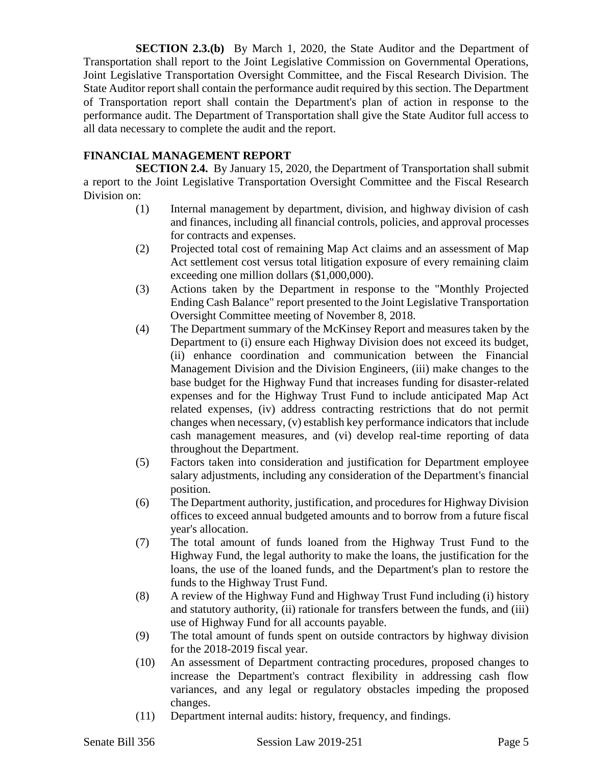**SECTION 2.3.(b)** By March 1, 2020, the State Auditor and the Department of Transportation shall report to the Joint Legislative Commission on Governmental Operations, Joint Legislative Transportation Oversight Committee, and the Fiscal Research Division. The State Auditor report shall contain the performance audit required by this section. The Department of Transportation report shall contain the Department's plan of action in response to the performance audit. The Department of Transportation shall give the State Auditor full access to all data necessary to complete the audit and the report.

#### **FINANCIAL MANAGEMENT REPORT**

**SECTION 2.4.** By January 15, 2020, the Department of Transportation shall submit a report to the Joint Legislative Transportation Oversight Committee and the Fiscal Research Division on:

- (1) Internal management by department, division, and highway division of cash and finances, including all financial controls, policies, and approval processes for contracts and expenses.
- (2) Projected total cost of remaining Map Act claims and an assessment of Map Act settlement cost versus total litigation exposure of every remaining claim exceeding one million dollars (\$1,000,000).
- (3) Actions taken by the Department in response to the "Monthly Projected Ending Cash Balance" report presented to the Joint Legislative Transportation Oversight Committee meeting of November 8, 2018.
- (4) The Department summary of the McKinsey Report and measures taken by the Department to (i) ensure each Highway Division does not exceed its budget, (ii) enhance coordination and communication between the Financial Management Division and the Division Engineers, (iii) make changes to the base budget for the Highway Fund that increases funding for disaster-related expenses and for the Highway Trust Fund to include anticipated Map Act related expenses, (iv) address contracting restrictions that do not permit changes when necessary, (v) establish key performance indicators that include cash management measures, and (vi) develop real-time reporting of data throughout the Department.
- (5) Factors taken into consideration and justification for Department employee salary adjustments, including any consideration of the Department's financial position.
- (6) The Department authority, justification, and procedures for Highway Division offices to exceed annual budgeted amounts and to borrow from a future fiscal year's allocation.
- (7) The total amount of funds loaned from the Highway Trust Fund to the Highway Fund, the legal authority to make the loans, the justification for the loans, the use of the loaned funds, and the Department's plan to restore the funds to the Highway Trust Fund.
- (8) A review of the Highway Fund and Highway Trust Fund including (i) history and statutory authority, (ii) rationale for transfers between the funds, and (iii) use of Highway Fund for all accounts payable.
- (9) The total amount of funds spent on outside contractors by highway division for the 2018-2019 fiscal year.
- (10) An assessment of Department contracting procedures, proposed changes to increase the Department's contract flexibility in addressing cash flow variances, and any legal or regulatory obstacles impeding the proposed changes.
- (11) Department internal audits: history, frequency, and findings.